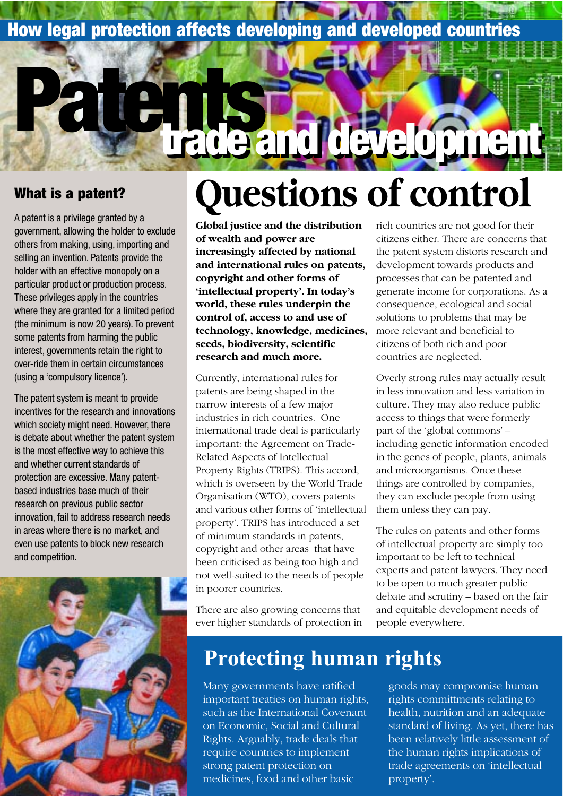### **How legal protection affects developing and developed countries**

#### **What is a patent?**

A patent is a privilege granted by a government, allowing the holder to exclude others from making, using, importing and selling an invention. Patents provide the holder with an effective monopoly on a particular product or production process. These privileges apply in the countries where they are granted for a limited period (the minimum is now 20 years). To prevent some patents from harming the public interest, governments retain the right to over-ride them in certain circumstances (using a 'compulsory licence').

**Patents**

The patent system is meant to provide incentives for the research and innovations which society might need. However, there is debate about whether the patent system is the most effective way to achieve this and whether current standards of protection are excessive. Many patentbased industries base much of their research on previous public sector innovation, fail to address research needs in areas where there is no market, and even use patents to block new research and competition.



# **Questions of control**

**trade and development trade and development**

**Global justice and the distribution of wealth and power are increasingly affected by national and international rules on patents, copyright and other forms of 'intellectual property'. In today's world, these rules underpin the control of, access to and use of technology, knowledge, medicines, seeds, biodiversity, scientific research and much more.**

Currently, international rules for patents are being shaped in the narrow interests of a few major industries in rich countries. One international trade deal is particularly important: the Agreement on Trade-Related Aspects of Intellectual Property Rights (TRIPS). This accord, which is overseen by the World Trade Organisation (WTO), covers patents and various other forms of 'intellectual property'. TRIPS has introduced a set of minimum standards in patents, copyright and other areas that have been criticised as being too high and not well-suited to the needs of people in poorer countries.

There are also growing concerns that ever higher standards of protection in rich countries are not good for their citizens either. There are concerns that the patent system distorts research and development towards products and processes that can be patented and generate income for corporations. As a consequence, ecological and social solutions to problems that may be more relevant and beneficial to citizens of both rich and poor countries are neglected.

Overly strong rules may actually result in less innovation and less variation in culture. They may also reduce public access to things that were formerly part of the 'global commons' – including genetic information encoded in the genes of people, plants, animals and microorganisms. Once these things are controlled by companies, they can exclude people from using them unless they can pay.

The rules on patents and other forms of intellectual property are simply too important to be left to technical experts and patent lawyers. They need to be open to much greater public debate and scrutiny – based on the fair and equitable development needs of people everywhere.

### **Protecting human rights**

Many governments have ratified important treaties on human rights, such as the International Covenant on Economic, Social and Cultural Rights. Arguably, trade deals that require countries to implement strong patent protection on medicines, food and other basic

goods may compromise human rights committments relating to health, nutrition and an adequate standard of living. As yet, there has been relatively little assessment of the human rights implications of trade agreements on 'intellectual property'.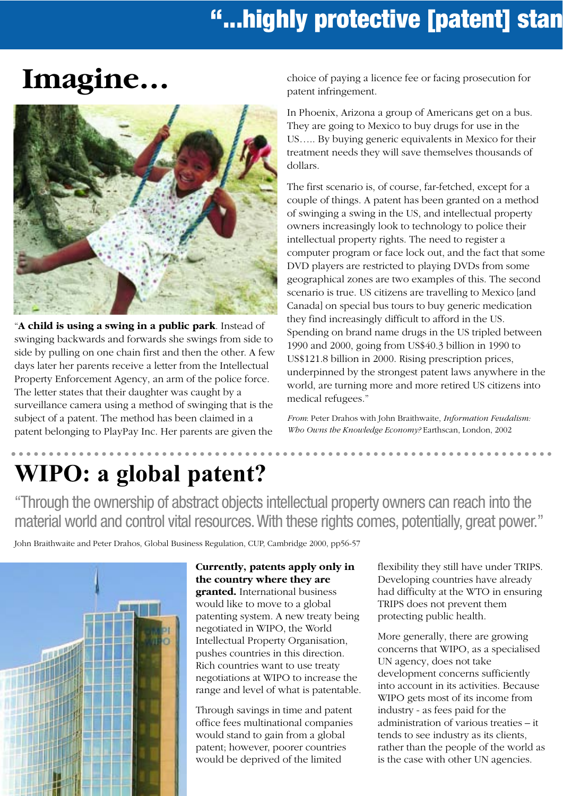### **"...highly protective [patent] stand-**

## **Imagine…**



"**A child is using a swing in a public park**. Instead of swinging backwards and forwards she swings from side to side by pulling on one chain first and then the other. A few days later her parents receive a letter from the Intellectual Property Enforcement Agency, an arm of the police force. The letter states that their daughter was caught by a surveillance camera using a method of swinging that is the subject of a patent. The method has been claimed in a patent belonging to PlayPay Inc. Her parents are given the

choice of paying a licence fee or facing prosecution for patent infringement.

In Phoenix, Arizona a group of Americans get on a bus. They are going to Mexico to buy drugs for use in the US….. By buying generic equivalents in Mexico for their treatment needs they will save themselves thousands of dollars.

The first scenario is, of course, far-fetched, except for a couple of things. A patent has been granted on a method of swinging a swing in the US, and intellectual property owners increasingly look to technology to police their intellectual property rights. The need to register a computer program or face lock out, and the fact that some DVD players are restricted to playing DVDs from some geographical zones are two examples of this. The second scenario is true. US citizens are travelling to Mexico [and Canada] on special bus tours to buy generic medication they find increasingly difficult to afford in the US. Spending on brand name drugs in the US tripled between 1990 and 2000, going from US\$40.3 billion in 1990 to US\$121.8 billion in 2000. Rising prescription prices, underpinned by the strongest patent laws anywhere in the world, are turning more and more retired US citizens into medical refugees."

*From*: Peter Drahos with John Braithwaite, *Information Feudalism: Who Owns the Knowledge Economy?* Earthscan, London, 2002

### **WIPO: a global patent?**

"Through the ownership of abstract objects intellectual property owners can reach into the material world and control vital resources. With these rights comes, potentially, great power."

John Braithwaite and Peter Drahos, Global Business Regulation, CUP, Cambridge 2000, pp56-57



**Currently, patents apply only in the country where they are granted.** International business would like to move to a global patenting system. A new treaty being negotiated in WIPO, the World Intellectual Property Organisation, pushes countries in this direction. Rich countries want to use treaty

Through savings in time and patent office fees multinational companies would stand to gain from a global patent; however, poorer countries would be deprived of the limited

negotiations at WIPO to increase the range and level of what is patentable. flexibility they still have under TRIPS. Developing countries have already had difficulty at the WTO in ensuring TRIPS does not prevent them protecting public health.

. . . . . . . . . . .

More generally, there are growing concerns that WIPO, as a specialised UN agency, does not take development concerns sufficiently into account in its activities. Because WIPO gets most of its income from industry - as fees paid for the administration of various treaties – it tends to see industry as its clients, rather than the people of the world as is the case with other UN agencies.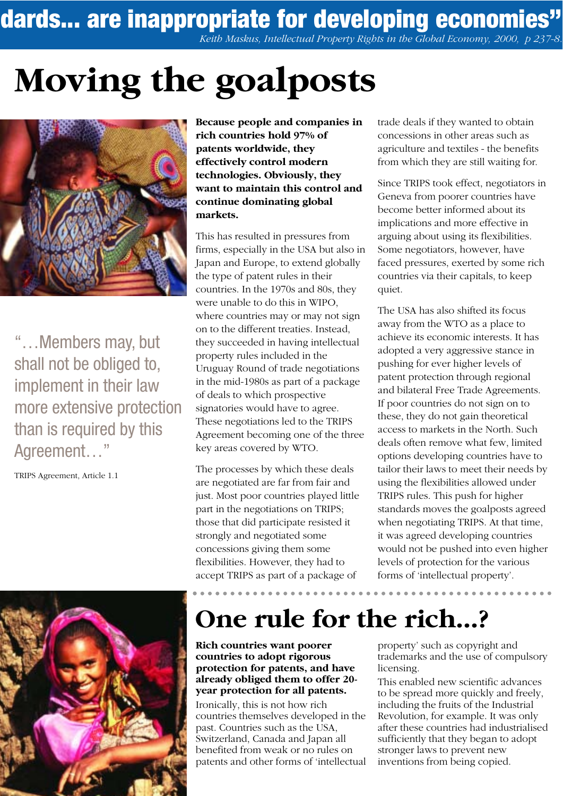**ndards... are inappropriate for developing economies"**

*Keith Maskus, Intellectual Property Rights in the Global Economy, 2000, p 237-8.*

# **Moving the goalposts**



"…Members may, but shall not be obliged to, implement in their law more extensive protection than is required by this Agreement…"

TRIPS Agreement, Article 1.1



**Because people and companies in rich countries hold 97% of patents worldwide, they effectively control modern technologies. Obviously, they want to maintain this control and continue dominating global markets.**

This has resulted in pressures from firms, especially in the USA but also in Japan and Europe, to extend globally the type of patent rules in their countries. In the 1970s and 80s, they were unable to do this in WIPO, where countries may or may not sign on to the different treaties. Instead, they succeeded in having intellectual property rules included in the Uruguay Round of trade negotiations in the mid-1980s as part of a package of deals to which prospective signatories would have to agree. These negotiations led to the TRIPS Agreement becoming one of the three key areas covered by WTO.

The processes by which these deals are negotiated are far from fair and just. Most poor countries played little part in the negotiations on TRIPS; those that did participate resisted it strongly and negotiated some concessions giving them some flexibilities. However, they had to accept TRIPS as part of a package of

trade deals if they wanted to obtain concessions in other areas such as agriculture and textiles - the benefits from which they are still waiting for.

Since TRIPS took effect, negotiators in Geneva from poorer countries have become better informed about its implications and more effective in arguing about using its flexibilities. Some negotiators, however, have faced pressures, exerted by some rich countries via their capitals, to keep quiet.

The USA has also shifted its focus away from the WTO as a place to achieve its economic interests. It has adopted a very aggressive stance in pushing for ever higher levels of patent protection through regional and bilateral Free Trade Agreements. If poor countries do not sign on to these, they do not gain theoretical access to markets in the North. Such deals often remove what few, limited options developing countries have to tailor their laws to meet their needs by using the flexibilities allowed under TRIPS rules. This push for higher standards moves the goalposts agreed when negotiating TRIPS. At that time, it was agreed developing countries would not be pushed into even higher levels of protection for the various forms of 'intellectual property'.

### **One rule for the rich...?**

**Rich countries want poorer countries to adopt rigorous protection for patents, and have already obliged them to offer 20 year protection for all patents.**

Ironically, this is not how rich countries themselves developed in the past. Countries such as the USA, Switzerland, Canada and Japan all benefited from weak or no rules on patents and other forms of 'intellectual property' such as copyright and trademarks and the use of compulsory licensing.

This enabled new scientific advances to be spread more quickly and freely, including the fruits of the Industrial Revolution, for example. It was only after these countries had industrialised sufficiently that they began to adopt stronger laws to prevent new inventions from being copied.